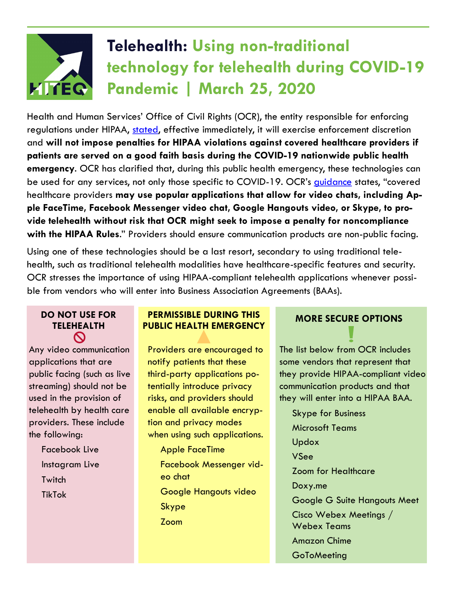# **Telehealth: Using non-traditional technology for telehealth during COVID-19 Pandemic | March 25, 2020**

Health and Human Services' Office of Civil Rights (OCR), the entity responsible for enforcing regulations under HIPAA, [stated,](https://www.hhs.gov/hipaa/for-professionals/special-topics/emergency-preparedness/notification-enforcement-discretion-telehealth/index.html) effective immediately, it will exercise enforcement discretion and **will not impose penalties for HIPAA violations against covered healthcare providers if patients are served on a good faith basis during the COVID-19 nationwide public health emergency**. OCR has clarified that, during this public health emergency, these technologies can be used for any services, not only those specific to COVID-19. OCR's quidance states, "covered healthcare providers **may use popular applications that allow for video chats, including Apple FaceTime, Facebook Messenger video chat, Google Hangouts video, or Skype, to provide telehealth without risk that OCR might seek to impose a penalty for noncompliance with the HIPAA Rules**." Providers should ensure communication products are non-public facing.

Using one of these technologies should be a last resort, secondary to using traditional telehealth, such as traditional telehealth modalities have healthcare-specific features and security. OCR stresses the importance of using HIPAA-compliant telehealth applications whenever possible from vendors who will enter into Business Association Agreements (BAAs).

### **DO NOT USE FOR TELEHEALTH**   $\mathbf{\Omega}$

Any video communication applications that are public facing (such as live streaming) should not be used in the provision of telehealth by health care providers. These include the following:

> Facebook Live Instagram Live **Twitch** TikTok

# **PERMISSIBLE DURING THIS PUBLIC HEALTH EMERGENCY**

Providers are encouraged to notify patients that these third-party applications potentially introduce privacy risks, and providers should enable all available encryption and privacy modes when using such applications.

Apple FaceTime Facebook Messenger video chat Google Hangouts video Skype Zoom

# **MORE SECURE OPTIONS**

The list below from OCR includes some vendors that represent that they provide HIPAA-compliant video communication products and that they will enter into a HIPAA BAA.

Skype for Business Microsoft Teams Updox VSee Zoom for Healthcare Doxy.me Google G Suite Hangouts Meet Cisco Webex Meetings / Webex Teams Amazon Chime **GoToMeeting**